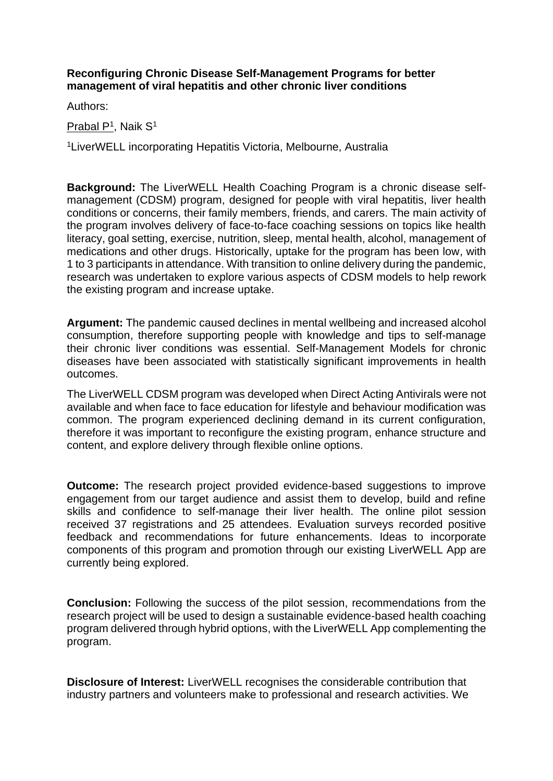## **Reconfiguring Chronic Disease Self-Management Programs for better management of viral hepatitis and other chronic liver conditions**

Authors:

Prabal P<sup>1</sup>, Naik S<sup>1</sup>

<sup>1</sup>LiverWELL incorporating Hepatitis Victoria, Melbourne, Australia

**Background:** The LiverWELL Health Coaching Program is a chronic disease selfmanagement (CDSM) program, designed for people with viral hepatitis, liver health conditions or concerns, their family members, friends, and carers. The main activity of the program involves delivery of face-to-face coaching sessions on topics like health literacy, goal setting, exercise, nutrition, sleep, mental health, alcohol, management of medications and other drugs. Historically, uptake for the program has been low, with 1 to 3 participants in attendance. With transition to online delivery during the pandemic, research was undertaken to explore various aspects of CDSM models to help rework the existing program and increase uptake.

**Argument:** The pandemic caused declines in mental wellbeing and increased alcohol consumption, therefore supporting people with knowledge and tips to self-manage their chronic liver conditions was essential. Self-Management Models for chronic diseases have been associated with statistically significant improvements in health outcomes.

The LiverWELL CDSM program was developed when Direct Acting Antivirals were not available and when face to face education for lifestyle and behaviour modification was common. The program experienced declining demand in its current configuration, therefore it was important to reconfigure the existing program, enhance structure and content, and explore delivery through flexible online options.

**Outcome:** The research project provided evidence-based suggestions to improve engagement from our target audience and assist them to develop, build and refine skills and confidence to self-manage their liver health. The online pilot session received 37 registrations and 25 attendees. Evaluation surveys recorded positive feedback and recommendations for future enhancements. Ideas to incorporate components of this program and promotion through our existing LiverWELL App are currently being explored.

**Conclusion:** Following the success of the pilot session, recommendations from the research project will be used to design a sustainable evidence-based health coaching program delivered through hybrid options, with the LiverWELL App complementing the program.

**Disclosure of Interest:** LiverWELL recognises the considerable contribution that industry partners and volunteers make to professional and research activities. We